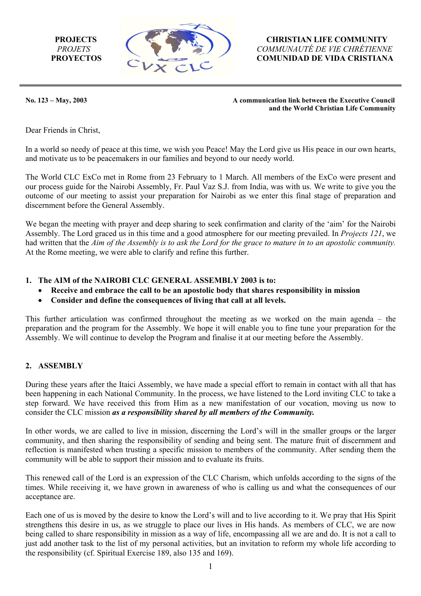

 **PROJECTS****CHRISTIAN LIFE COMMUNITY** *PROJETS COMMUNAUTÉ DE VIE CHRÉTIENNE* PROYECTOS COMUNIDAD DE VIDA CRISTIANA

No. 123 – May, 2003

**A munication link between the Executive Council and the World Christian Life Community** 

Dear Friends in Christ,

In a world so needy of peace at this time, we wish you Peace! May the Lord give us His peace in our own hearts, and motivate us to be peacemakers in our families and beyond to our needy world.

outcome of our meeting to assist your preparation for Nairobi as we enter this final stage of preparation and discernment before the General Assembly. The World CLC ExCo met in Rome from 23 February to 1 March. All members of the ExCo were present and our process guide for the Nairobi Assembly, Fr. Paul Vaz S.J. from India, was with us. We write to give you the

had written that the Aim of the Assembly is to ask the Lord for the grace to mature in to an apostolic community. At the Rome meeting, we were able to clarify and refine this further. We began the meeting with prayer and deep sharing to seek confirmation and clarity of the 'aim' for the Nairobi Assembly. The Lord graced us in this time and a good atmosphere for our meeting prevailed. In *Projects 121*, we

- **1. The AIM of the NAIROBI CLC GENERAL ASSEMBLY 2003 is to:** 
	- **onsibility in mission Receive and embrace the call to be an apostolic body that shares resp**
	- **Consider and define the consequences of living that call at all levels.**

preparation and the program for the Assembly. We hope it will enable you to fine tune your preparation for the Assembly. We will continue to develop the Program and finalise it at our meeting before the Assembly. This further articulation was confirmed throughout the meeting as we worked on the main agenda – the

## **ASSEMBLY 2.**

step forward. We have received this from Him as a new manifestation of our vocation, moving us now to consider the CLC mission *as a responsibility shared by all members of the Community*. During these years after the Itaici Assembly, we have made a special effort to remain in contact with all that has been happening in each National Community. In the process, we have listened to the Lord inviting CLC to take a

reflection is manifested when trusting a specific mission to members of the community. After sending them the ommunity will be able to support their mission and to evaluate its fruits. c In other words, we are called to live in mission, discerning the Lord's will in the smaller groups or the larger community, and then sharing the responsibility of sending and being sent. The mature fruit of discernment and

times. While receiving it, we have grown in awareness of who is calling us and what the consequences of our acceptance are. This renewed call of the Lord is an expression of the CLC Charism, which unfolds according to the signs of the

just add another task to the list of my personal activities, but an invitation to reform my whole life according to the responsibility (cf. Spiritual Exercise 189, also 135 and 169). Each one of us is moved by the desire to know the Lord's will and to live according to it. We pray that His Spirit strengthens this desire in us, as we struggle to place our lives in His hands. As members of CLC, we are now being called to share responsibility in mission as a way of life, encompassing all we are and do. It is not a call to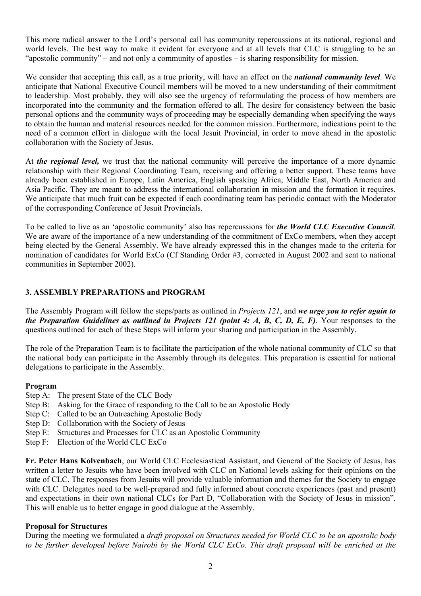This more radical answer to the Lord's personal call has community repercussions at its national, regional and world levels. The best way to make it evident for everyone and at all levels that CLC is struggling to be an "apostolic community" – and not only a community of apostles – is sharing responsibility for mission.

We consider that accepting this call, as a true priority, will have an effect on the *national community level*. We anticipate that National Executive Council members will be moved to a new understanding of their commitment to leadership. Most probably, they will also see the urgency of reformulating the process of how members are incorporated into the community and the formation offered to all. The desire for consistency between the basic personal options and the community ways of proceeding may be especially demanding when specifying the ways to obtain the human and material resources needed for the common mission. Furthermore, indications point to the need of a common effort in dialogue with the local Jesuit Provincial, in order to move ahead in the apostolic collaboration with the Society of Jesus.

At *the regional level,* we trust that the national community will perceive the importance of a more dynamic relationship with their Regional Coordinating Team, receiving and offering a better support. These teams have already been established in Europe, Latin America, English speaking Africa, Middle East, North America and Asia Pacific. They are meant to address the international collaboration in mission and the formation it requires. We anticipate that much fruit can be expected if each coordinating team has periodic contact with the Moderator of the corresponding Conference of Jesuit Provincials.

To be called to live as an 'apostolic community' also has repercussions for *the World CLC Executive Council*. We are aware of the importance of a new understanding of the commitment of ExCo members, when they accept being elected by the General Assembly. We have already expressed this in the changes made to the criteria for nomination of candidates for World ExCo (Cf Standing Order #3, corrected in August 2002 and sent to national communities in September 2002).

## **3. ASSEMBLY PREPARATIONS and PROGRAM**

The Assembly Program will follow the steps/parts as outlined in *Projects 121*, and *we urge you to refer again to the Preparation Guidelines as outlined in Projects 121 (point 4: A, B, C, D, E, F)*. Your responses to the questions outlined for each of these Steps will inform your sharing and participation in the Assembly.

The role of the Preparation Team is to facilitate the participation of the whole national community of CLC so that the national body can participate in the Assembly through its delegates. This preparation is essential for national delegations to participate in the Assembly.

### **Program**

- Step A: The present State of the CLC Body
- Step B: Asking for the Grace of responding to the Call to be an Apostolic Body
- Step C: Called to be an Outreaching Apostolic Body
- Step D: Collaboration with the Society of Jesus
- Step E: Structures and Processes for CLC as an Apostolic Community
- Step F: Election of the World CLC ExCo

**Fr. Peter Hans Kolvenbach**, our World CLC Ecclesiastical Assistant, and General of the Society of Jesus, has written a letter to Jesuits who have been involved with CLC on National levels asking for their opinions on the state of CLC. The responses from Jesuits will provide valuable information and themes for the Society to engage with CLC. Delegates need to be well-prepared and fully informed about concrete experiences (past and present) and expectations in their own national CLCs for Part D, "Collaboration with the Society of Jesus in mission". This will enable us to better engage in good dialogue at the Assembly.

### **Proposal for Structures**

During the meeting we formulated a *draft proposal on Structures needed for World CLC to be an apostolic body to be further developed before Nairobi by the World CLC ExCo*. *This draft proposal will be enriched at the*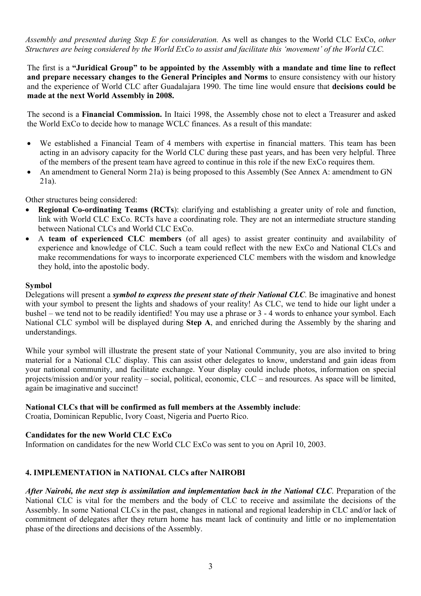*Assembly and presented during Step E for consideration.* As well as changes to the World CLC ExCo, *other Structures are being considered by the World ExCo to assist and facilitate this 'movement' of the World CLC.* 

The first is a **"Juridical Group" to be appointed by the Assembly with a mandate and time line to reflect and prepare necessary changes to the General Principles and Norms** to ensure consistency with our history and the experience of World CLC after Guadalajara 1990. The time line would ensure that **decisions could be made at the next World Assembly in 2008.**

The second is a **Financial Commission.** In Itaici 1998, the Assembly chose not to elect a Treasurer and asked the World ExCo to decide how to manage WCLC finances. As a result of this mandate:

- We established a Financial Team of 4 members with expertise in financial matters. This team has been acting in an advisory capacity for the World CLC during these past years, and has been very helpful. Three of the members of the present team have agreed to continue in this role if the new ExCo requires them.
- An amendment to General Norm 21a) is being proposed to this Assembly (See Annex A: amendment to GN 21a).

#### Other structures being considered:

- **Regional Co-ordinating Teams (RCTs**): clarifying and establishing a greater unity of role and function, link with World CLC ExCo. RCTs have a coordinating role. They are not an intermediate structure standing between National CLCs and World CLC ExCo.
- A **team of experienced CLC members** (of all ages) to assist greater continuity and availability of experience and knowledge of CLC. Such a team could reflect with the new ExCo and National CLCs and make recommendations for ways to incorporate experienced CLC members with the wisdom and knowledge they hold, into the apostolic body.

#### **Symbol**

Delegations will present a *symbol to express the present state of their National CLC*. Be imaginative and honest with your symbol to present the lights and shadows of your reality! As CLC, we tend to hide our light under a bushel – we tend not to be readily identified! You may use a phrase or 3 - 4 words to enhance your symbol. Each National CLC symbol will be displayed during **Step A**, and enriched during the Assembly by the sharing and understandings.

While your symbol will illustrate the present state of your National Community, you are also invited to bring material for a National CLC display. This can assist other delegates to know, understand and gain ideas from your national community, and facilitate exchange. Your display could include photos, information on special projects/mission and/or your reality – social, political, economic, CLC – and resources. As space will be limited, again be imaginative and succinct!

### **National CLCs that will be confirmed as full members at the Assembly include**:

Croatia, Dominican Republic, Ivory Coast, Nigeria and Puerto Rico.

### **Candidates for the new World CLC ExCo**

Information on candidates for the new World CLC ExCo was sent to you on April 10, 2003.

## **4. IMPLEMENTATION in NATIONAL CLCs after NAIROBI**

*After Nairobi, the next step is assimilation and implementation back in the National CLC*. Preparation of the National CLC is vital for the members and the body of CLC to receive and assimilate the decisions of the Assembly. In some National CLCs in the past, changes in national and regional leadership in CLC and/or lack of commitment of delegates after they return home has meant lack of continuity and little or no implementation phase of the directions and decisions of the Assembly.